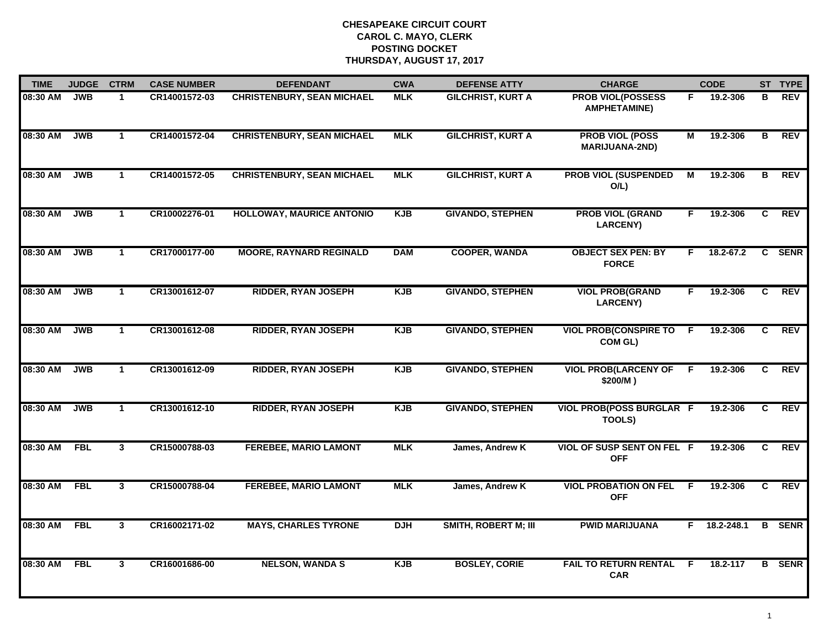| <b>TIME</b> | <b>JUDGE</b> | <b>CTRM</b>    | <b>CASE NUMBER</b> | <b>DEFENDANT</b>                  | <b>CWA</b> | <b>DEFENSE ATTY</b>         | <b>CHARGE</b>                                    |                | <b>CODE</b>        |              | ST TYPE       |
|-------------|--------------|----------------|--------------------|-----------------------------------|------------|-----------------------------|--------------------------------------------------|----------------|--------------------|--------------|---------------|
| 08:30 AM    | <b>JWB</b>   | $\mathbf 1$    | CR14001572-03      | <b>CHRISTENBURY, SEAN MICHAEL</b> | <b>MLK</b> | <b>GILCHRIST, KURT A</b>    | <b>PROB VIOL(POSSESS</b><br><b>AMPHETAMINE)</b>  | F.             | 19.2-306           | в            | REV           |
| 08:30 AM    | <b>JWB</b>   | $\mathbf{1}$   | CR14001572-04      | <b>CHRISTENBURY, SEAN MICHAEL</b> | <b>MLK</b> | <b>GILCHRIST, KURT A</b>    | <b>PROB VIOL (POSS</b><br><b>MARIJUANA-2ND)</b>  | $\overline{M}$ | 19.2-306           | В            | <b>REV</b>    |
| 08:30 AM    | <b>JWB</b>   | $\mathbf{1}$   | CR14001572-05      | <b>CHRISTENBURY, SEAN MICHAEL</b> | <b>MLK</b> | <b>GILCHRIST, KURT A</b>    | <b>PROB VIOL (SUSPENDED</b><br>$O/L$ )           | М              | 19.2-306           | в            | <b>REV</b>    |
| 08:30 AM    | <b>JWB</b>   | $\mathbf{1}$   | CR10002276-01      | <b>HOLLOWAY, MAURICE ANTONIO</b>  | <b>KJB</b> | <b>GIVANDO, STEPHEN</b>     | <b>PROB VIOL (GRAND</b><br><b>LARCENY)</b>       | F.             | 19.2-306           | C            | <b>REV</b>    |
| 08:30 AM    | <b>JWB</b>   | $\mathbf{1}$   | CR17000177-00      | <b>MOORE, RAYNARD REGINALD</b>    | <b>DAM</b> | <b>COOPER, WANDA</b>        | <b>OBJECT SEX PEN: BY</b><br><b>FORCE</b>        | F.             | 18.2-67.2          | $\mathbf{c}$ | <b>SENR</b>   |
| 08:30 AM    | <b>JWB</b>   | $\mathbf{1}$   | CR13001612-07      | <b>RIDDER, RYAN JOSEPH</b>        | <b>KJB</b> | <b>GIVANDO, STEPHEN</b>     | <b>VIOL PROB(GRAND</b><br><b>LARCENY)</b>        | F.             | 19.2-306           | C            | <b>REV</b>    |
| 08:30 AM    | <b>JWB</b>   | $\mathbf{1}$   | CR13001612-08      | <b>RIDDER, RYAN JOSEPH</b>        | <b>KJB</b> | <b>GIVANDO, STEPHEN</b>     | <b>VIOL PROB(CONSPIRE TO</b><br>COM GL)          | F.             | 19.2-306           | C            | <b>REV</b>    |
| 08:30 AM    | <b>JWB</b>   | $\mathbf{1}$   | CR13001612-09      | <b>RIDDER, RYAN JOSEPH</b>        | <b>KJB</b> | <b>GIVANDO, STEPHEN</b>     | <b>VIOL PROB(LARCENY OF</b><br>\$200/M)          | F.             | 19.2-306           | C.           | <b>REV</b>    |
| 08:30 AM    | <b>JWB</b>   | $\mathbf{1}$   | CR13001612-10      | <b>RIDDER, RYAN JOSEPH</b>        | <b>KJB</b> | <b>GIVANDO, STEPHEN</b>     | <b>VIOL PROB(POSS BURGLAR F</b><br><b>TOOLS)</b> |                | 19.2-306           | C            | <b>REV</b>    |
| 08:30 AM    | <b>FBL</b>   | 3              | CR15000788-03      | <b>FEREBEE, MARIO LAMONT</b>      | <b>MLK</b> | James, Andrew K             | <b>VIOL OF SUSP SENT ON FEL F</b><br><b>OFF</b>  |                | 19.2-306           | C            | <b>REV</b>    |
| 08:30 AM    | FBL          | $\mathbf{3}$   | CR15000788-04      | <b>FEREBEE, MARIO LAMONT</b>      | <b>MLK</b> | James, Andrew K             | <b>VIOL PROBATION ON FEL</b><br><b>OFF</b>       | F.             | 19.2-306           | C.           | REV           |
| 08:30 AM    | <b>FBL</b>   | $\overline{3}$ | CR16002171-02      | <b>MAYS, CHARLES TYRONE</b>       | <b>DJH</b> | <b>SMITH, ROBERT M; III</b> | <b>PWID MARIJUANA</b>                            |                | $F = 18.2 - 248.1$ |              | <b>B</b> SENR |
| 08:30 AM    | <b>FBL</b>   | 3              | CR16001686-00      | <b>NELSON, WANDA S</b>            | <b>KJB</b> | <b>BOSLEY, CORIE</b>        | <b>FAIL TO RETURN RENTAL</b><br><b>CAR</b>       | E              | 18.2-117           |              | <b>B</b> SENR |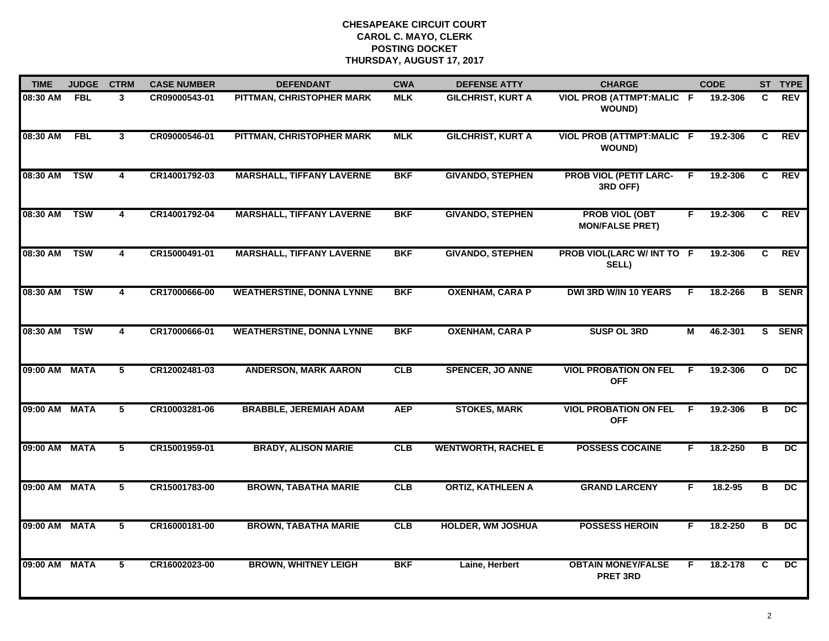| <b>TIME</b>   | <b>JUDGE</b> | <b>CTRM</b>    | <b>CASE NUMBER</b> | <b>DEFENDANT</b>                 | <b>CWA</b> | <b>DEFENSE ATTY</b>        | <b>CHARGE</b>                                   |    | <b>CODE</b> |                         | ST TYPE         |
|---------------|--------------|----------------|--------------------|----------------------------------|------------|----------------------------|-------------------------------------------------|----|-------------|-------------------------|-----------------|
| 08:30 AM      | <b>FBL</b>   | 3              | CR09000543-01      | PITTMAN, CHRISTOPHER MARK        | <b>MLK</b> | <b>GILCHRIST, KURT A</b>   | VIOL PROB (ATTMPT:MALIC F<br><b>WOUND)</b>      |    | 19.2-306    | C.                      | <b>REV</b>      |
| 08:30 AM FBL  |              | 3              | CR09000546-01      | PITTMAN, CHRISTOPHER MARK        | <b>MLK</b> | <b>GILCHRIST, KURT A</b>   | VIOL PROB (ATTMPT:MALIC F<br><b>WOUND)</b>      |    | 19.2-306    | C                       | <b>REV</b>      |
| 08:30 AM      | <b>TSW</b>   | 4              | CR14001792-03      | <b>MARSHALL, TIFFANY LAVERNE</b> | <b>BKF</b> | <b>GIVANDO, STEPHEN</b>    | <b>PROB VIOL (PETIT LARC-</b><br>3RD OFF)       | E  | 19.2-306    | C                       | <b>REV</b>      |
| 08:30 AM      | <b>TSW</b>   | 4              | CR14001792-04      | <b>MARSHALL, TIFFANY LAVERNE</b> | <b>BKF</b> | <b>GIVANDO, STEPHEN</b>    | <b>PROB VIOL (OBT</b><br><b>MON/FALSE PRET)</b> | F. | 19.2-306    | C                       | <b>REV</b>      |
| 08:30 AM      | <b>TSW</b>   | 4              | CR15000491-01      | <b>MARSHALL, TIFFANY LAVERNE</b> | <b>BKF</b> | <b>GIVANDO, STEPHEN</b>    | PROB VIOL(LARC W/ INT TO F<br>SELL)             |    | 19.2-306    | C                       | <b>REV</b>      |
| 08:30 AM TSW  |              | 4              | CR17000666-00      | <b>WEATHERSTINE, DONNA LYNNE</b> | <b>BKF</b> | <b>OXENHAM, CARA P</b>     | <b>DWI 3RD W/IN 10 YEARS</b>                    | F. | 18.2-266    |                         | <b>B</b> SENR   |
| 08:30 AM TSW  |              | $\overline{4}$ | CR17000666-01      | <b>WEATHERSTINE, DONNA LYNNE</b> | <b>BKF</b> | <b>OXENHAM, CARA P</b>     | <b>SUSP OL 3RD</b>                              | М  | 46.2-301    |                         | S SENR          |
| 09:00 AM MATA |              | 5              | CR12002481-03      | <b>ANDERSON, MARK AARON</b>      | CLB        | <b>SPENCER, JO ANNE</b>    | <b>VIOL PROBATION ON FEL</b><br><b>OFF</b>      | E  | 19.2-306    | $\mathbf{o}$            | $\overline{DC}$ |
| 09:00 AM MATA |              | 5              | CR10003281-06      | <b>BRABBLE, JEREMIAH ADAM</b>    | <b>AEP</b> | <b>STOKES, MARK</b>        | <b>VIOL PROBATION ON FEL</b><br><b>OFF</b>      | -F | 19.2-306    | в                       | <b>DC</b>       |
| 09:00 AM MATA |              | 5              | CR15001959-01      | <b>BRADY, ALISON MARIE</b>       | CLB        | <b>WENTWORTH, RACHEL E</b> | <b>POSSESS COCAINE</b>                          | F. | 18.2-250    | B                       | DC              |
| 09:00 AM MATA |              | 5              | CR15001783-00      | <b>BROWN, TABATHA MARIE</b>      | CLB        | <b>ORTIZ, KATHLEEN A</b>   | <b>GRAND LARCENY</b>                            | F. | 18.2-95     | в                       | $\overline{DC}$ |
| 09:00 AM MATA |              | $\overline{5}$ | CR16000181-00      | <b>BROWN, TABATHA MARIE</b>      | CLB        | <b>HOLDER, WM JOSHUA</b>   | <b>POSSESS HEROIN</b>                           | F. | 18.2-250    | $\overline{\mathbf{B}}$ | $\overline{DC}$ |
| 09:00 AM MATA |              | 5              | CR16002023-00      | <b>BROWN, WHITNEY LEIGH</b>      | <b>BKF</b> | Laine, Herbert             | <b>OBTAIN MONEY/FALSE</b><br><b>PRET 3RD</b>    | F. | 18.2-178    | C                       | DC.             |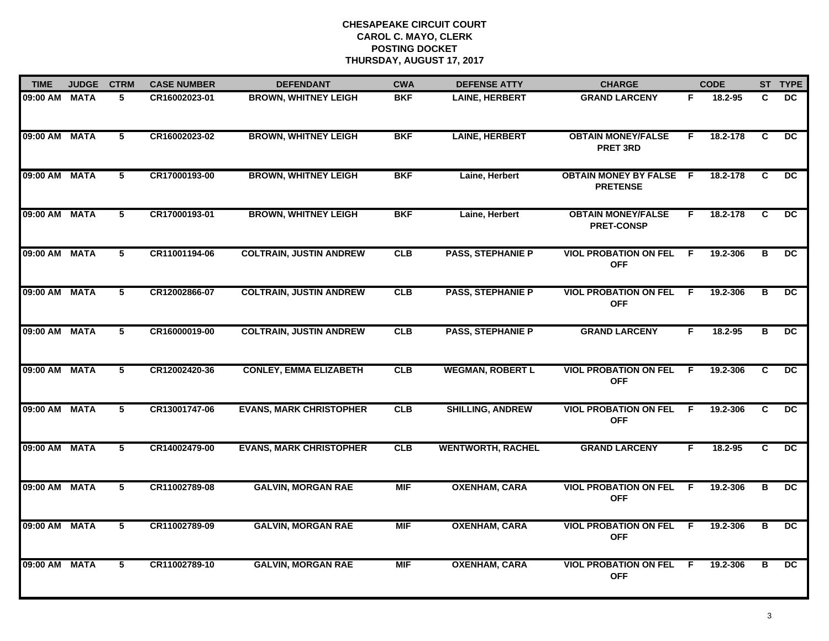| <b>TIME</b>   | <b>JUDGE</b> | <b>CTRM</b>    | <b>CASE NUMBER</b> | <b>DEFENDANT</b>               | <b>CWA</b> | <b>DEFENSE ATTY</b>      | <b>CHARGE</b>                                     |                | <b>CODE</b> |                         | ST TYPE         |
|---------------|--------------|----------------|--------------------|--------------------------------|------------|--------------------------|---------------------------------------------------|----------------|-------------|-------------------------|-----------------|
| 09:00 AM MATA |              | 5              | CR16002023-01      | <b>BROWN, WHITNEY LEIGH</b>    | <b>BKF</b> | <b>LAINE, HERBERT</b>    | <b>GRAND LARCENY</b>                              | F.             | 18.2-95     | C.                      | DC.             |
| 09:00 AM MATA |              | 5              | CR16002023-02      | <b>BROWN, WHITNEY LEIGH</b>    | <b>BKF</b> | <b>LAINE, HERBERT</b>    | <b>OBTAIN MONEY/FALSE</b><br><b>PRET 3RD</b>      | F.             | 18.2-178    | C                       | DC.             |
| 09:00 AM MATA |              | 5              | CR17000193-00      | <b>BROWN, WHITNEY LEIGH</b>    | <b>BKF</b> | Laine, Herbert           | <b>OBTAIN MONEY BY FALSE F</b><br><b>PRETENSE</b> |                | 18.2-178    | C                       | $\overline{DC}$ |
| 09:00 AM MATA |              | 5              | CR17000193-01      | <b>BROWN, WHITNEY LEIGH</b>    | <b>BKF</b> | Laine, Herbert           | <b>OBTAIN MONEY/FALSE</b><br><b>PRET-CONSP</b>    | F.             | 18.2-178    | C                       | DC.             |
| 09:00 AM MATA |              | 5              | CR11001194-06      | <b>COLTRAIN, JUSTIN ANDREW</b> | CLB        | <b>PASS, STEPHANIE P</b> | <b>VIOL PROBATION ON FEL</b><br><b>OFF</b>        | F.             | 19.2-306    | B                       | DC.             |
| 09:00 AM MATA |              | 5              | CR12002866-07      | <b>COLTRAIN, JUSTIN ANDREW</b> | CLB        | <b>PASS, STEPHANIE P</b> | <b>VIOL PROBATION ON FEL</b><br><b>OFF</b>        | -F.            | 19.2-306    | в                       | $\overline{DC}$ |
| 09:00 AM MATA |              | $\overline{5}$ | CR16000019-00      | <b>COLTRAIN, JUSTIN ANDREW</b> | CLB        | <b>PASS, STEPHANIE P</b> | <b>GRAND LARCENY</b>                              | F.             | $18.2 - 95$ | в                       | $\overline{DC}$ |
| 09:00 AM MATA |              | 5              | CR12002420-36      | <b>CONLEY, EMMA ELIZABETH</b>  | <b>CLB</b> | <b>WEGMAN, ROBERT L</b>  | <b>VIOL PROBATION ON FEL</b><br><b>OFF</b>        | E              | 19.2-306    | C                       | $\overline{DC}$ |
| 09:00 AM MATA |              | 5              | CR13001747-06      | <b>EVANS, MARK CHRISTOPHER</b> | CLB        | <b>SHILLING, ANDREW</b>  | <b>VIOL PROBATION ON FEL</b><br><b>OFF</b>        | -F             | 19.2-306    | C                       | DC              |
| 09:00 AM MATA |              | 5              | CR14002479-00      | <b>EVANS, MARK CHRISTOPHER</b> | CLB        | <b>WENTWORTH, RACHEL</b> | <b>GRAND LARCENY</b>                              | F.             | $18.2 - 95$ | C                       | DC              |
| 09:00 AM MATA |              | 5              | CR11002789-08      | <b>GALVIN, MORGAN RAE</b>      | <b>MIF</b> | <b>OXENHAM, CARA</b>     | <b>VIOL PROBATION ON FEL</b><br><b>OFF</b>        | F.             | 19.2-306    | в                       | $\overline{DC}$ |
| 09:00 AM MATA |              | $\overline{5}$ | CR11002789-09      | <b>GALVIN, MORGAN RAE</b>      | <b>MIF</b> | <b>OXENHAM, CARA</b>     | <b>VIOL PROBATION ON FEL</b><br><b>OFF</b>        | $\overline{F}$ | 19.2-306    | $\overline{\mathbf{B}}$ | $\overline{DC}$ |
| 09:00 AM MATA |              | 5              | CR11002789-10      | <b>GALVIN, MORGAN RAE</b>      | <b>MIF</b> | <b>OXENHAM, CARA</b>     | <b>VIOL PROBATION ON FEL</b><br><b>OFF</b>        | F.             | 19.2-306    | в                       | $\overline{DC}$ |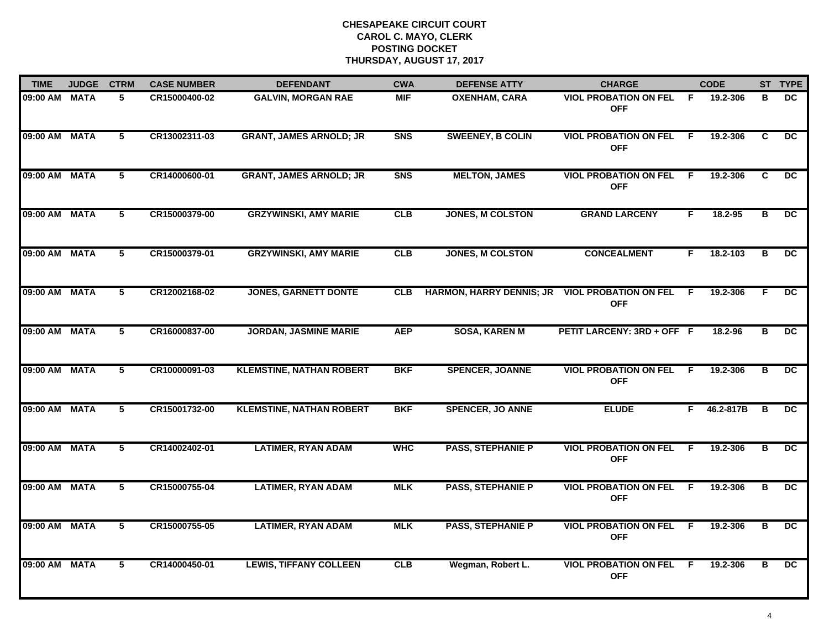| <b>TIME</b>   | <b>JUDGE</b> | <b>CTRM</b>    | <b>CASE NUMBER</b> | <b>DEFENDANT</b>                | <b>CWA</b>     | <b>DEFENSE ATTY</b>                              | <b>CHARGE</b>                                |     | <b>CODE</b> |                         | ST TYPE         |
|---------------|--------------|----------------|--------------------|---------------------------------|----------------|--------------------------------------------------|----------------------------------------------|-----|-------------|-------------------------|-----------------|
| 09:00 AM MATA |              | 5.             | CR15000400-02      | <b>GALVIN, MORGAN RAE</b>       | <b>MIF</b>     | <b>OXENHAM, CARA</b>                             | <b>VIOL PROBATION ON FEL</b><br><b>OFF</b>   | - F | 19.2-306    | в                       | DC.             |
| 09:00 AM MATA |              | 5              | CR13002311-03      | <b>GRANT, JAMES ARNOLD; JR</b>  | S <sub>N</sub> | <b>SWEENEY, B COLIN</b>                          | <b>VIOL PROBATION ON FEL F</b><br><b>OFF</b> |     | 19.2-306    | C                       | DC.             |
| 09:00 AM MATA |              | 5              | CR14000600-01      | <b>GRANT, JAMES ARNOLD; JR</b>  | <b>SNS</b>     | <b>MELTON, JAMES</b>                             | <b>VIOL PROBATION ON FEL F</b><br><b>OFF</b> |     | 19.2-306    | C                       | $\overline{DC}$ |
| 09:00 AM MATA |              | 5              | CR15000379-00      | <b>GRZYWINSKI, AMY MARIE</b>    | <b>CLB</b>     | <b>JONES, M COLSTON</b>                          | <b>GRAND LARCENY</b>                         | F.  | 18.2-95     | в                       | DC.             |
| 09:00 AM MATA |              | 5              | CR15000379-01      | <b>GRZYWINSKI, AMY MARIE</b>    | CLB            | <b>JONES, M COLSTON</b>                          | <b>CONCEALMENT</b>                           | F.  | 18.2-103    | B                       | DC.             |
| 09:00 AM MATA |              | 5              | CR12002168-02      | <b>JONES, GARNETT DONTE</b>     | <b>CLB</b>     | HARMON, HARRY DENNIS; JR VIOL PROBATION ON FEL F | <b>OFF</b>                                   |     | 19.2-306    | E                       | DC.             |
| 09:00 AM MATA |              | $\overline{5}$ | CR16000837-00      | <b>JORDAN, JASMINE MARIE</b>    | <b>AEP</b>     | <b>SOSA, KAREN M</b>                             | PETIT LARCENY: 3RD + OFF F                   |     | 18.2-96     | $\overline{B}$          | DC              |
| 09:00 AM MATA |              | 5              | CR10000091-03      | <b>KLEMSTINE, NATHAN ROBERT</b> | <b>BKF</b>     | <b>SPENCER, JOANNE</b>                           | <b>VIOL PROBATION ON FEL</b><br><b>OFF</b>   | - F | 19.2-306    | В                       | DC.             |
| 09:00 AM MATA |              | 5              | CR15001732-00      | <b>KLEMSTINE, NATHAN ROBERT</b> | <b>BKF</b>     | <b>SPENCER, JO ANNE</b>                          | <b>ELUDE</b>                                 | F.  | 46.2-817B   | B                       | <b>DC</b>       |
| 09:00 AM MATA |              | 5              | CR14002402-01      | <b>LATIMER, RYAN ADAM</b>       | <b>WHC</b>     | <b>PASS, STEPHANIE P</b>                         | <b>VIOL PROBATION ON FEL F</b><br><b>OFF</b> |     | 19.2-306    | в                       | DC              |
| 09:00 AM MATA |              | 5              | CR15000755-04      | <b>LATIMER, RYAN ADAM</b>       | <b>MLK</b>     | <b>PASS, STEPHANIE P</b>                         | <b>VIOL PROBATION ON FEL F</b><br><b>OFF</b> |     | 19.2-306    | B                       | DC.             |
| 09:00 AM MATA |              | $5^{-}$        | CR15000755-05      | <b>LATIMER, RYAN ADAM</b>       | <b>MLK</b>     | <b>PASS, STEPHANIE P</b>                         | <b>VIOL PROBATION ON FEL</b><br><b>OFF</b>   | - F | 19.2-306    | $\overline{\mathbf{B}}$ | $\overline{DC}$ |
| 09:00 AM MATA |              | 5              | CR14000450-01      | <b>LEWIS, TIFFANY COLLEEN</b>   | CLB            | Wegman, Robert L.                                | <b>VIOL PROBATION ON FEL F</b><br><b>OFF</b> |     | 19.2-306    | В                       | $\overline{DC}$ |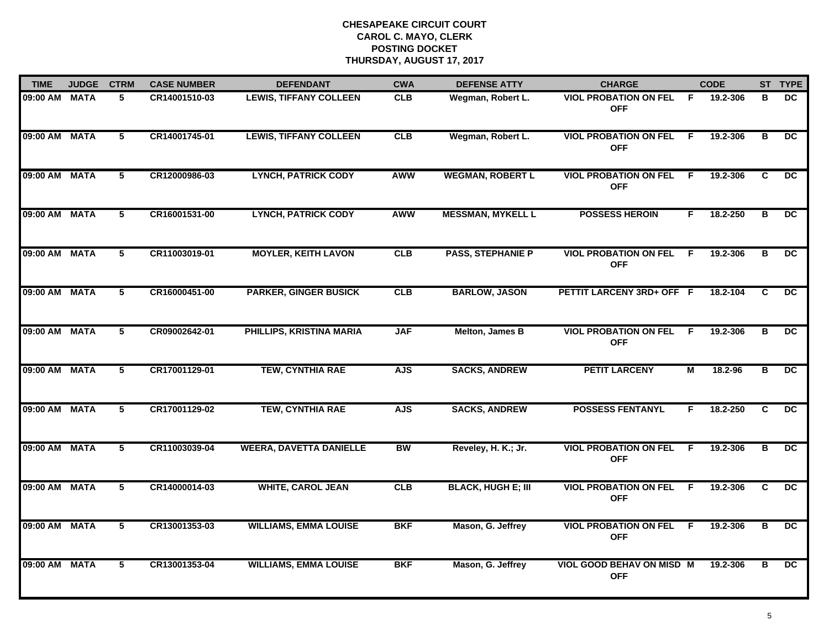| <b>TIME</b>   | <b>JUDGE</b> | <b>CTRM</b>    | <b>CASE NUMBER</b> | <b>DEFENDANT</b>               | <b>CWA</b> | <b>DEFENSE ATTY</b>       | <b>CHARGE</b>                              |    | <b>CODE</b> |                         | ST TYPE         |
|---------------|--------------|----------------|--------------------|--------------------------------|------------|---------------------------|--------------------------------------------|----|-------------|-------------------------|-----------------|
| 09:00 AM MATA |              | 5              | CR14001510-03      | <b>LEWIS, TIFFANY COLLEEN</b>  | <b>CLB</b> | Wegman, Robert L.         | <b>VIOL PROBATION ON FEL</b><br><b>OFF</b> | F. | 19.2-306    | в                       | DC.             |
| 09:00 AM MATA |              | 5              | CR14001745-01      | <b>LEWIS, TIFFANY COLLEEN</b>  | <b>CLB</b> | Wegman, Robert L.         | <b>VIOL PROBATION ON FEL</b><br><b>OFF</b> | -F | 19.2-306    | B                       | DC.             |
| 09:00 AM MATA |              | 5              | CR12000986-03      | <b>LYNCH, PATRICK CODY</b>     | <b>AWW</b> | <b>WEGMAN, ROBERT L</b>   | <b>VIOL PROBATION ON FEL</b><br><b>OFF</b> | F. | 19.2-306    | C.                      | $\overline{DC}$ |
| 09:00 AM      | <b>MATA</b>  | 5              | CR16001531-00      | <b>LYNCH, PATRICK CODY</b>     | <b>AWW</b> | <b>MESSMAN, MYKELL L</b>  | <b>POSSESS HEROIN</b>                      | F. | 18.2-250    | в                       | DC.             |
| 09:00 AM MATA |              | 5              | CR11003019-01      | <b>MOYLER, KEITH LAVON</b>     | CLB        | <b>PASS, STEPHANIE P</b>  | <b>VIOL PROBATION ON FEL</b><br><b>OFF</b> | F. | 19.2-306    | B                       | DC.             |
| 09:00 AM MATA |              | 5              | CR16000451-00      | <b>PARKER, GINGER BUSICK</b>   | CLB        | <b>BARLOW, JASON</b>      | PETTIT LARCENY 3RD+ OFF F                  |    | 18.2-104    | C                       | $\overline{DC}$ |
| 09:00 AM MATA |              | $\overline{5}$ | CR09002642-01      | PHILLIPS, KRISTINA MARIA       | <b>JAF</b> | Melton, James B           | <b>VIOL PROBATION ON FEL</b><br><b>OFF</b> | F. | 19.2-306    | B                       | $\overline{DC}$ |
| 09:00 AM MATA |              | 5              | CR17001129-01      | <b>TEW, CYNTHIA RAE</b>        | <b>AJS</b> | <b>SACKS, ANDREW</b>      | <b>PETIT LARCENY</b>                       | М  | 18.2-96     | в                       | $\overline{DC}$ |
| 09:00 AM MATA |              | 5              | CR17001129-02      | <b>TEW, CYNTHIA RAE</b>        | <b>AJS</b> | <b>SACKS, ANDREW</b>      | <b>POSSESS FENTANYL</b>                    | F  | 18.2-250    | C                       | DC.             |
| 09:00 AM MATA |              | 5              | CR11003039-04      | <b>WEERA, DAVETTA DANIELLE</b> | <b>BW</b>  | Reveley, H. K.; Jr.       | <b>VIOL PROBATION ON FEL</b><br><b>OFF</b> | -F | 19.2-306    | B                       | <b>DC</b>       |
| 09:00 AM MATA |              | 5              | CR14000014-03      | <b>WHITE, CAROL JEAN</b>       | CLB        | <b>BLACK, HUGH E; III</b> | <b>VIOL PROBATION ON FEL</b><br><b>OFF</b> | F. | 19.2-306    | C                       | $\overline{DC}$ |
| 09:00 AM MATA |              | 5              | CR13001353-03      | <b>WILLIAMS, EMMA LOUISE</b>   | <b>BKF</b> | Mason, G. Jeffrey         | <b>VIOL PROBATION ON FEL</b><br><b>OFF</b> | F. | 19.2-306    | $\overline{\mathbf{B}}$ | $\overline{DC}$ |
| 09:00 AM MATA |              | 5              | CR13001353-04      | <b>WILLIAMS, EMMA LOUISE</b>   | <b>BKF</b> | Mason, G. Jeffrey         | VIOL GOOD BEHAV ON MISD M<br><b>OFF</b>    |    | 19.2-306    | в                       | $\overline{DC}$ |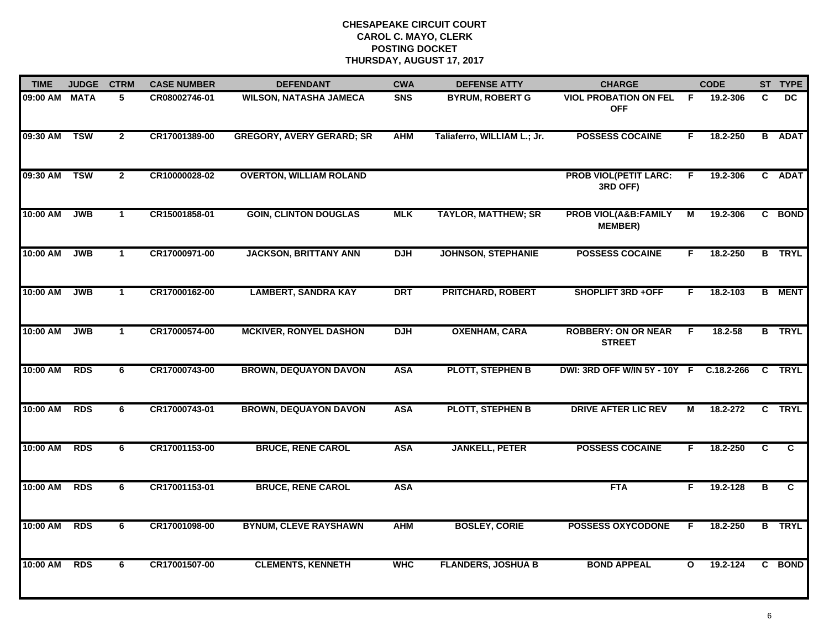| <b>TIME</b>   | <b>JUDGE</b> | <b>CTRM</b>    | <b>CASE NUMBER</b> | <b>DEFENDANT</b>                 | <b>CWA</b> | <b>DEFENSE ATTY</b>         | <b>CHARGE</b>                                     |                | <b>CODE</b> |                         | ST TYPE        |
|---------------|--------------|----------------|--------------------|----------------------------------|------------|-----------------------------|---------------------------------------------------|----------------|-------------|-------------------------|----------------|
| 09:00 AM MATA |              | 5              | CR08002746-01      | <b>WILSON, NATASHA JAMECA</b>    | <b>SNS</b> | <b>BYRUM, ROBERT G</b>      | <b>VIOL PROBATION ON FEL</b><br><b>OFF</b>        | F.             | 19.2-306    | C                       | DC.            |
| 09:30 AM      | <b>TSW</b>   | $\overline{2}$ | CR17001389-00      | <b>GREGORY, AVERY GERARD; SR</b> | <b>AHM</b> | Taliaferro, WILLIAM L.; Jr. | <b>POSSESS COCAINE</b>                            | F.             | 18.2-250    |                         | <b>B</b> ADAT  |
| 09:30 AM      | <b>TSW</b>   | $\overline{2}$ | CR10000028-02      | <b>OVERTON, WILLIAM ROLAND</b>   |            |                             | <b>PROB VIOL(PETIT LARC:</b><br>3RD OFF)          | F.             | 19.2-306    |                         | C ADAT         |
| 10:00 AM      | <b>JWB</b>   | $\mathbf 1$    | CR15001858-01      | <b>GOIN, CLINTON DOUGLAS</b>     | <b>MLK</b> | <b>TAYLOR, MATTHEW; SR</b>  | <b>PROB VIOL(A&amp;B:FAMILY</b><br><b>MEMBER)</b> | М              | 19.2-306    |                         | C BOND         |
| 10:00 AM      | <b>JWB</b>   | $\mathbf{1}$   | CR17000971-00      | <b>JACKSON, BRITTANY ANN</b>     | <b>DJH</b> | <b>JOHNSON, STEPHANIE</b>   | <b>POSSESS COCAINE</b>                            | F.             | 18.2-250    |                         | <b>B</b> TRYL  |
| 10:00 AM      | <b>JWB</b>   | $\mathbf{1}$   | CR17000162-00      | <b>LAMBERT, SANDRA KAY</b>       | <b>DRT</b> | <b>PRITCHARD, ROBERT</b>    | <b>SHOPLIFT 3RD +OFF</b>                          | F.             | 18.2-103    |                         | <b>B</b> MENT  |
| 10:00 AM      | <b>JWB</b>   | $\mathbf{1}$   | CR17000574-00      | <b>MCKIVER, RONYEL DASHON</b>    | <b>DJH</b> | <b>OXENHAM, CARA</b>        | <b>ROBBERY: ON OR NEAR</b><br><b>STREET</b>       | $\overline{F}$ | $18.2 - 58$ |                         | <b>B</b> TRYL  |
| 10:00 AM      | <b>RDS</b>   | 6              | CR17000743-00      | <b>BROWN, DEQUAYON DAVON</b>     | <b>ASA</b> | <b>PLOTT, STEPHEN B</b>     | DWI: 3RD OFF W/IN 5Y - 10Y F C.18.2-266           |                |             |                         | C TRYL         |
| 10:00 AM      | <b>RDS</b>   | 6              | CR17000743-01      | <b>BROWN, DEQUAYON DAVON</b>     | <b>ASA</b> | <b>PLOTT, STEPHEN B</b>     | <b>DRIVE AFTER LIC REV</b>                        | М              | 18.2-272    | C                       | <b>TRYL</b>    |
| 10:00 AM      | <b>RDS</b>   | 6              | CR17001153-00      | <b>BRUCE, RENE CAROL</b>         | <b>ASA</b> | <b>JANKELL, PETER</b>       | <b>POSSESS COCAINE</b>                            | F.             | 18.2-250    | C                       | $\overline{c}$ |
| 10:00 AM      | <b>RDS</b>   | 6              | CR17001153-01      | <b>BRUCE, RENE CAROL</b>         | <b>ASA</b> |                             | <b>FTA</b>                                        | F.             | 19.2-128    | $\overline{\mathbf{B}}$ | C              |
| 10:00 AM      | <b>RDS</b>   | 6              | CR17001098-00      | <b>BYNUM, CLEVE RAYSHAWN</b>     | <b>AHM</b> | <b>BOSLEY, CORIE</b>        | <b>POSSESS OXYCODONE</b>                          | F.             | 18.2-250    |                         | <b>B</b> TRYL  |
| 10:00 AM      | <b>RDS</b>   | 6              | CR17001507-00      | <b>CLEMENTS, KENNETH</b>         | <b>WHC</b> | <b>FLANDERS, JOSHUA B</b>   | <b>BOND APPEAL</b>                                | $\mathbf{o}$   | 19.2-124    |                         | C BOND         |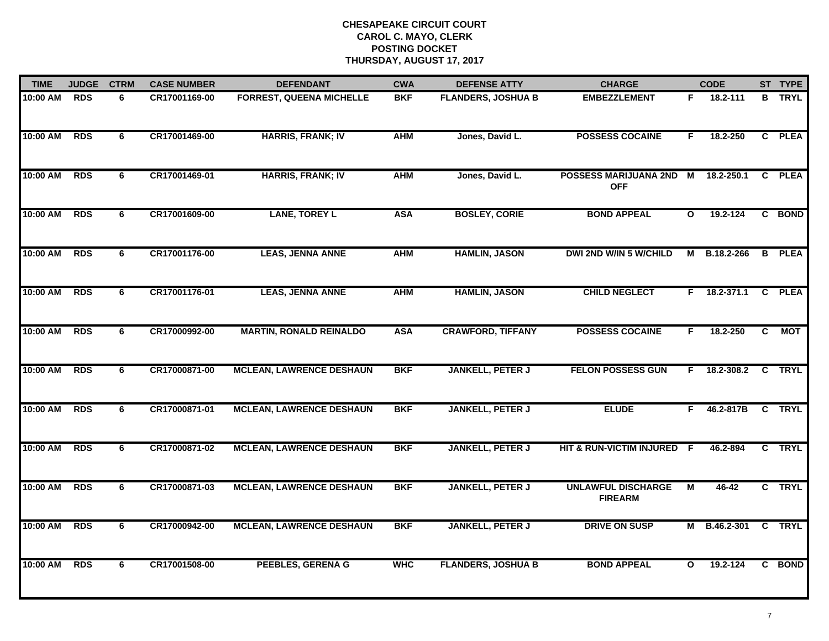| <b>TIME</b> | <b>JUDGE</b> | <b>CTRM</b> | <b>CASE NUMBER</b> | <b>DEFENDANT</b>                | <b>CWA</b> | <b>DEFENSE ATTY</b>       | <b>CHARGE</b>                               |              | <b>CODE</b>        |                | ST TYPE       |
|-------------|--------------|-------------|--------------------|---------------------------------|------------|---------------------------|---------------------------------------------|--------------|--------------------|----------------|---------------|
| 10:00 AM    | <b>RDS</b>   | 6           | CR17001169-00      | <b>FORREST, QUEENA MICHELLE</b> | <b>BKF</b> | <b>FLANDERS, JOSHUA B</b> | <b>EMBEZZLEMENT</b>                         | F.           | 18.2-111           |                | <b>B</b> TRYL |
| 10:00 AM    | <b>RDS</b>   | 6           | CR17001469-00      | <b>HARRIS, FRANK; IV</b>        | <b>AHM</b> | Jones, David L.           | <b>POSSESS COCAINE</b>                      | F.           | 18.2-250           |                | C PLEA        |
| 10:00 AM    | <b>RDS</b>   | 6           | CR17001469-01      | <b>HARRIS, FRANK; IV</b>        | <b>AHM</b> | Jones, David L.           | <b>POSSESS MARIJUANA 2ND</b><br><b>OFF</b>  | М            | 18.2-250.1         |                | C PLEA        |
| 10:00 AM    | <b>RDS</b>   | 6           | CR17001609-00      | <b>LANE, TOREY L</b>            | <b>ASA</b> | <b>BOSLEY, CORIE</b>      | <b>BOND APPEAL</b>                          | $\mathbf{o}$ | $19.2 - 124$       |                | C BOND        |
| 10:00 AM    | <b>RDS</b>   | 6           | CR17001176-00      | <b>LEAS, JENNA ANNE</b>         | <b>AHM</b> | <b>HAMLIN, JASON</b>      | <b>DWI 2ND W/IN 5 W/CHILD</b>               | M            | B.18.2-266         |                | <b>B</b> PLEA |
| 10:00 AM    | <b>RDS</b>   | 6           | CR17001176-01      | <b>LEAS, JENNA ANNE</b>         | <b>AHM</b> | <b>HAMLIN, JASON</b>      | <b>CHILD NEGLECT</b>                        |              | $F = 18.2 - 371.1$ |                | C PLEA        |
| 10:00 AM    | <b>RDS</b>   | 6           | CR17000992-00      | <b>MARTIN, RONALD REINALDO</b>  | <b>ASA</b> | <b>CRAWFORD, TIFFANY</b>  | <b>POSSESS COCAINE</b>                      | F            | 18.2-250           | $\overline{c}$ | <b>MOT</b>    |
| 10:00 AM    | <b>RDS</b>   | 6           | CR17000871-00      | <b>MCLEAN, LAWRENCE DESHAUN</b> | <b>BKF</b> | <b>JANKELL, PETER J</b>   | <b>FELON POSSESS GUN</b>                    | F.           | 18.2-308.2         |                | C TRYL        |
| 10:00 AM    | <b>RDS</b>   | 6           | CR17000871-01      | <b>MCLEAN, LAWRENCE DESHAUN</b> | <b>BKF</b> | <b>JANKELL, PETER J</b>   | <b>ELUDE</b>                                | F.           | 46.2-817B          |                | C TRYL        |
| 10:00 AM    | <b>RDS</b>   | 6           | CR17000871-02      | <b>MCLEAN, LAWRENCE DESHAUN</b> | <b>BKF</b> | <b>JANKELL, PETER J</b>   | HIT & RUN-VICTIM INJURED F                  |              | 46.2-894           |                | C TRYL        |
| 10:00 AM    | <b>RDS</b>   | 6           | CR17000871-03      | <b>MCLEAN, LAWRENCE DESHAUN</b> | <b>BKF</b> | <b>JANKELL, PETER J</b>   | <b>UNLAWFUL DISCHARGE</b><br><b>FIREARM</b> | М            | $46 - 42$          |                | C TRYL        |
| 10:00 AM    | <b>RDS</b>   | 6           | CR17000942-00      | <b>MCLEAN, LAWRENCE DESHAUN</b> | <b>BKF</b> | <b>JANKELL, PETER J</b>   | <b>DRIVE ON SUSP</b>                        |              | M B.46.2-301       |                | C TRYL        |
| 10:00 AM    | <b>RDS</b>   | 6           | CR17001508-00      | <b>PEEBLES, GERENA G</b>        | <b>WHC</b> | <b>FLANDERS, JOSHUA B</b> | <b>BOND APPEAL</b>                          | $\mathbf{o}$ | 19.2-124           |                | C BOND        |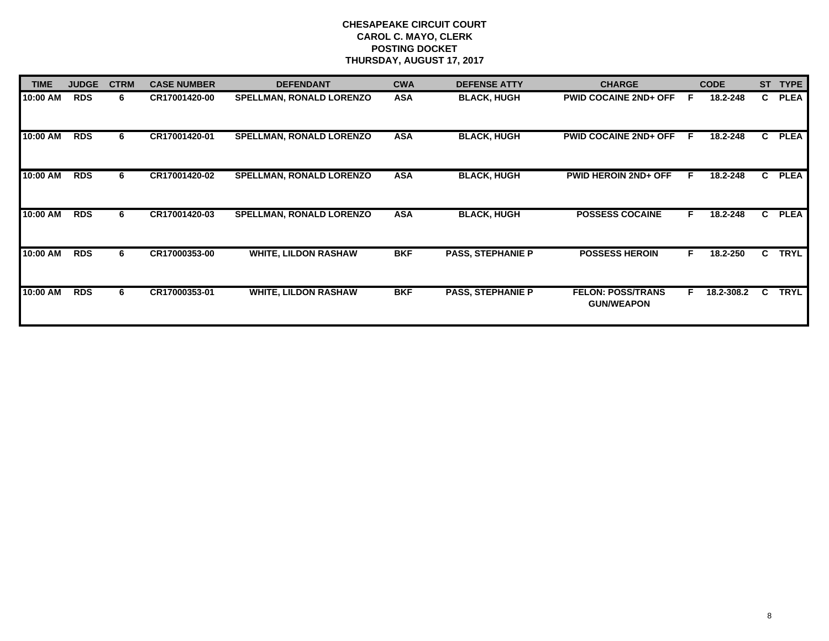| <b>TIME</b> | <b>JUDGE</b> | <b>CTRM</b> | <b>CASE NUMBER</b> | <b>DEFENDANT</b>                | <b>CWA</b> | <b>DEFENSE ATTY</b>      | <b>CHARGE</b>                                 |    | <b>CODE</b> | <b>ST</b>    | <b>TYPE</b> |
|-------------|--------------|-------------|--------------------|---------------------------------|------------|--------------------------|-----------------------------------------------|----|-------------|--------------|-------------|
| 10:00 AM    | <b>RDS</b>   | 6.          | CR17001420-00      | <b>SPELLMAN, RONALD LORENZO</b> | <b>ASA</b> | <b>BLACK, HUGH</b>       | <b>PWID COCAINE 2ND+ OFF</b>                  | F  | 18.2-248    | C.           | <b>PLEA</b> |
| 10:00 AM    | <b>RDS</b>   | 6           | CR17001420-01      | <b>SPELLMAN, RONALD LORENZO</b> | <b>ASA</b> | <b>BLACK, HUGH</b>       | <b>PWID COCAINE 2ND+ OFF</b>                  | -F | 18.2-248    | C            | <b>PLEA</b> |
| 10:00 AM    | <b>RDS</b>   | 6           | CR17001420-02      | <b>SPELLMAN, RONALD LORENZO</b> | <b>ASA</b> | <b>BLACK, HUGH</b>       | <b>PWID HEROIN 2ND+ OFF</b>                   | F. | 18.2-248    | $\mathbf{c}$ | <b>PLEA</b> |
| 10:00 AM    | <b>RDS</b>   | 6           | CR17001420-03      | <b>SPELLMAN, RONALD LORENZO</b> | <b>ASA</b> | <b>BLACK, HUGH</b>       | <b>POSSESS COCAINE</b>                        | F. | 18.2-248    | $\mathbf{c}$ | <b>PLEA</b> |
| 10:00 AM    | <b>RDS</b>   | 6           | CR17000353-00      | <b>WHITE, LILDON RASHAW</b>     | <b>BKF</b> | <b>PASS, STEPHANIE P</b> | <b>POSSESS HEROIN</b>                         | F. | 18.2-250    | C.           | <b>TRYL</b> |
| 10:00 AM    | <b>RDS</b>   | 6           | CR17000353-01      | <b>WHITE, LILDON RASHAW</b>     | <b>BKF</b> | <b>PASS, STEPHANIE P</b> | <b>FELON: POSS/TRANS</b><br><b>GUN/WEAPON</b> | F. | 18.2-308.2  | C.           | <b>TRYL</b> |